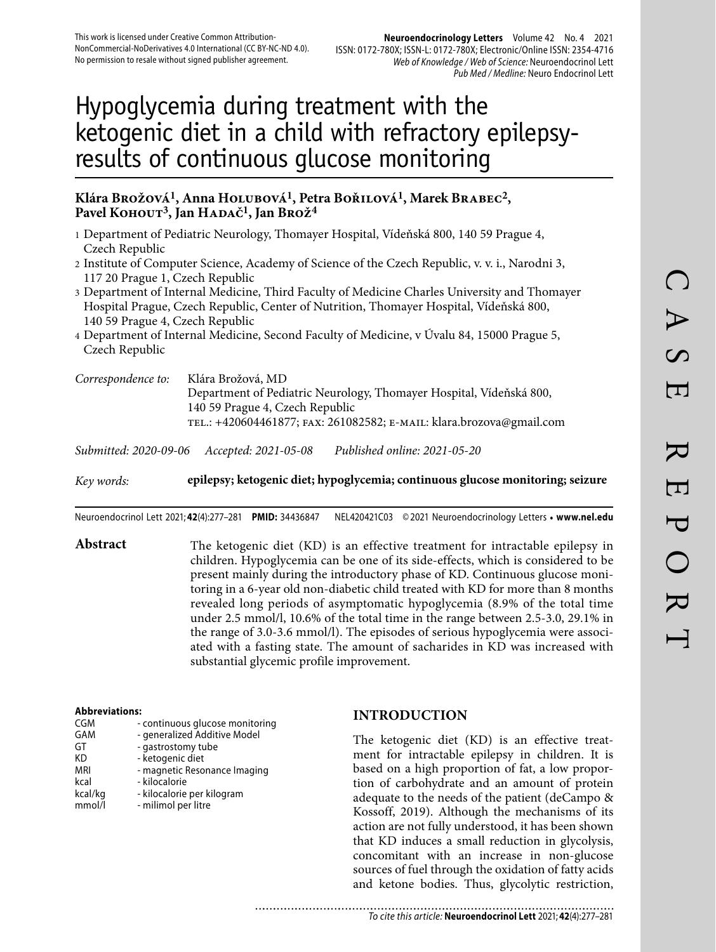#### **Neuroendocrinology Letters** Volume 42 No. 4 2021 ISSN: 0172-780X; ISSN-L: 0172-780X; Electronic/Online ISSN: 2354-4716 Web of Knowledge / Web of Science: Neuroendocrinol Lett Pub Med / Medline: Neuro Endocrinol Lett

# Hypoglycemia during treatment with the ketogenic diet in a child with refractory epilepsyresults of continuous glucose monitoring

### **Klára Brožová1, Anna Holubová1, Petra Bořilová1, Marek Brabec2,**  Pavel KOHOUT<sup>3</sup>, Jan HADAČ<sup>1</sup>, Jan Brož<sup>4</sup>

- 1 Department of Pediatric Neurology, Thomayer Hospital, Vídeňská 800, 140 59 Prague 4, Czech Republic
- 2 Institute of Computer Science, Academy of Science of the Czech Republic, v. v. i., Narodni 3, 117 20 Prague 1, Czech Republic
- 3 Department of Internal Medicine, Third Faculty of Medicine Charles University and Thomayer Hospital Prague, Czech Republic, Center of Nutrition, Thomayer Hospital, Vídeňská 800, 140 59 Prague 4, Czech Republic
- 4 Department of Internal Medicine, Second Faculty of Medicine, v Úvalu 84, 15000 Prague 5, Czech Republic
- *Correspondence to:* Klára Brožová, MD Department of Pediatric Neurology, Thomayer Hospital, Vídeňská 800, 140 59 Prague 4, Czech Republic tel.: +420604461877; fax: 261082582; e-mail: klara.brozova@gmail.com

*Submitted: 2020-09-06 Accepted: 2021-05-08 Published online: 2021-05-20*

*Key words:* **epilepsy; ketogenic diet; hypoglycemia; continuous glucose monitoring; seizure** 

Neuroendocrinol Lett 2021; **42**(4):277–281 **PMID:** 34436847 NEL420421C03 © 2021 Neuroendocrinology Letters • **www.nel.edu**

Abstract The ketogenic diet (KD) is an effective treatment for intractable epilepsy in children. Hypoglycemia can be one of its side-effects, which is considered to be present mainly during the introductory phase of KD. Continuous glucose monitoring in a 6-year old non-diabetic child treated with KD for more than 8 months revealed long periods of asymptomatic hypoglycemia (8.9% of the total time under 2.5 mmol/l, 10.6% of the total time in the range between 2.5-3.0, 29.1% in the range of 3.0-3.6 mmol/l). The episodes of serious hypoglycemia were associated with a fasting state. The amount of sacharides in KD was increased with substantial glycemic profile improvement.

#### **Abbreviations:**

| CGM     | - continuous glucose monitoring |
|---------|---------------------------------|
| GAM     | - generalized Additive Model    |
| GT      | - gastrostomy tube              |
| КD      | - ketogenic diet                |
| MRI     | - magnetic Resonance Imaging    |
| kcal    | - kilocalorie                   |
| kcal/kg | - kilocalorie per kilogram      |
| mmol/l  | - milimol per litre             |
|         |                                 |

#### **INTRODUCTION**

The ketogenic diet (KD) is an effective treatment for intractable epilepsy in children. It is based on a high proportion of fat, a low proportion of carbohydrate and an amount of protein adequate to the needs of the patient (deCampo & Kossoff, 2019). Although the mechanisms of its action are not fully understood, it has been shown that KD induces a small reduction in glycolysis, concomitant with an increase in non-glucose sources of fuel through the oxidation of fatty acids and ketone bodies. Thus, glycolytic restriction,

......................... To cite this article: **Neuroendocrinol Lett** 2021; **42**(4):277–281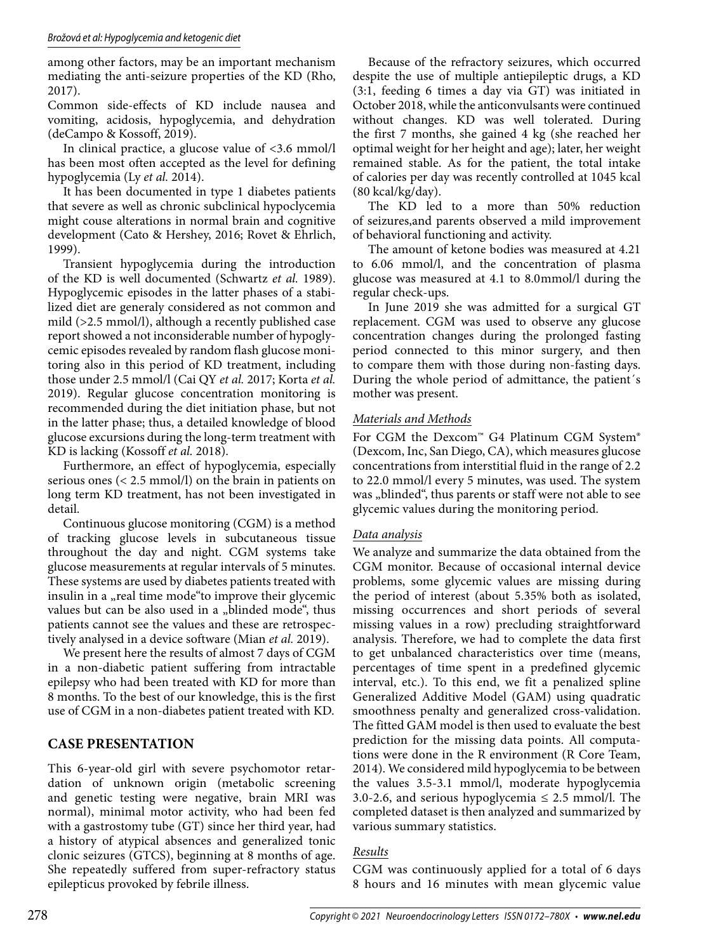among other factors, may be an important mechanism mediating the anti-seizure properties of the KD (Rho, 2017).

Common side-effects of KD include nausea and vomiting, acidosis, hypoglycemia, and dehydration (deCampo & Kossoff, 2019).

In clinical practice, a glucose value of <3.6 mmol/l has been most often accepted as the level for defining hypoglycemia (Ly *et al.* 2014).

It has been documented in type 1 diabetes patients that severe as well as chronic subclinical hypoclycemia might couse alterations in normal brain and cognitive development (Cato & Hershey, 2016; Rovet & Ehrlich, 1999).

Transient hypoglycemia during the introduction of the KD is well documented (Schwartz *et al.* 1989). Hypoglycemic episodes in the latter phases of a stabilized diet are generaly considered as not common and mild (>2.5 mmol/l), although a recently published case report showed a not inconsiderable number of hypoglycemic episodes revealed by random flash glucose monitoring also in this period of KD treatment, including those under 2.5 mmol/l (Cai QY *et al.* 2017; Korta *et al.* 2019). Regular glucose concentration monitoring is recommended during the diet initiation phase, but not in the latter phase; thus, a detailed knowledge of blood glucose excursions during the long-term treatment with KD is lacking (Kossoff *et al.* 2018).

Furthermore, an effect of hypoglycemia, especially serious ones (< 2.5 mmol/l) on the brain in patients on long term KD treatment, has not been investigated in detail.

Continuous glucose monitoring (CGM) is a method of tracking glucose levels in subcutaneous tissue throughout the day and night. CGM systems take glucose measurements at regular intervals of 5 minutes. These systems are used by diabetes patients treated with insulin in a "real time mode"to improve their glycemic values but can be also used in a "blinded mode", thus patients cannot see the values and these are retrospectively analysed in a device software (Mian *et al.* 2019).

We present here the results of almost 7 days of CGM in a non-diabetic patient suffering from intractable epilepsy who had been treated with KD for more than 8 months. To the best of our knowledge, this is the first use of CGM in a non-diabetes patient treated with KD.

# **CASE PRESENTATION**

This 6-year-old girl with severe psychomotor retardation of unknown origin (metabolic screening and genetic testing were negative, brain MRI was normal), minimal motor activity, who had been fed with a gastrostomy tube (GT) since her third year, had a history of atypical absences and generalized tonic clonic seizures (GTCS), beginning at 8 months of age. She repeatedly suffered from super-refractory status epilepticus provoked by febrile illness.

Because of the refractory seizures, which occurred despite the use of multiple antiepileptic drugs, a KD (3:1, feeding 6 times a day via GT) was initiated in October 2018, while the anticonvulsants were continued without changes. KD was well tolerated. During the first 7 months, she gained 4 kg (she reached her optimal weight for her height and age); later, her weight remained stable. As for the patient, the total intake of calories per day was recently controlled at 1045 kcal (80 kcal/kg/day).

The KD led to a more than 50% reduction of seizures,and parents observed a mild improvement of behavioral functioning and activity.

The amount of ketone bodies was measured at 4.21 to 6.06 mmol/l, and the concentration of plasma glucose was measured at 4.1 to 8.0 mmol/l during the regular check-ups.

In June 2019 she was admitted for a surgical GT replacement. CGM was used to observe any glucose concentration changes during the prolonged fasting period connected to this minor surgery, and then to compare them with those during non-fasting days. During the whole period of admittance, the patient´s mother was present.

# *Materials and Methods*

For CGM the Dexcom™ G4 Platinum CGM System® (Dexcom, Inc, San Diego, CA), which measures glucose concentrations from interstitial fluid in the range of 2.2 to 22.0 mmol/l every 5 minutes, was used. The system was "blinded", thus parents or staff were not able to see glycemic values during the monitoring period.

# *Data analysis*

We analyze and summarize the data obtained from the CGM monitor. Because of occasional internal device problems, some glycemic values are missing during the period of interest (about 5.35% both as isolated, missing occurrences and short periods of several missing values in a row) precluding straightforward analysis. Therefore, we had to complete the data first to get unbalanced characteristics over time (means, percentages of time spent in a predefined glycemic interval, etc.). To this end, we fit a penalized spline Generalized Additive Model (GAM) using quadratic smoothness penalty and generalized cross-validation. The fitted GAM model is then used to evaluate the best prediction for the missing data points. All computations were done in the R environment (R Core Team, 2014). We considered mild hypoglycemia to be between the values 3.5-3.1 mmol/l, moderate hypoglycemia 3.0-2.6, and serious hypoglycemia  $\leq$  2.5 mmol/l. The completed dataset is then analyzed and summarized by various summary statistics.

# *Results*

CGM was continuously applied for a total of 6 days 8 hours and 16 minutes with mean glycemic value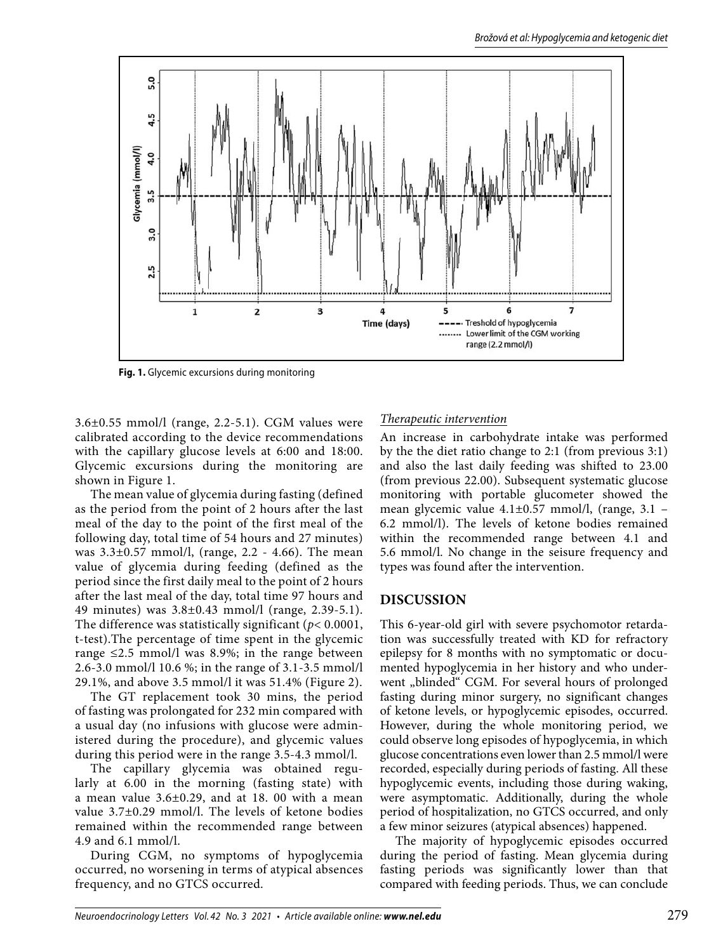

**Fig. 1.** Glycemic excursions during monitoring

3.6±0.55 mmol/l (range, 2.2-5.1). CGM values were calibrated according to the device recommendations with the capillary glucose levels at 6:00 and 18:00. Glycemic excursions during the monitoring are shown in Figure 1.

The mean value of glycemia during fasting (defined as the period from the point of 2 hours after the last meal of the day to the point of the first meal of the following day, total time of 54 hours and 27 minutes) was 3.3±0.57 mmol/l, (range, 2.2 - 4.66). The mean value of glycemia during feeding (defined as the period since the first daily meal to the point of 2 hours after the last meal of the day, total time 97 hours and 49 minutes) was 3.8±0.43 mmol/l (range, 2.39-5.1). The difference was statistically significant (*p*< 0.0001, t-test).The percentage of time spent in the glycemic range  $\leq$ 2.5 mmol/l was 8.9%; in the range between 2.6-3.0 mmol/l 10.6 %; in the range of 3.1-3.5 mmol/l 29.1%, and above 3.5 mmol/l it was 51.4% (Figure 2).

The GT replacement took 30 mins, the period of fasting was prolongated for 232 min compared with a usual day (no infusions with glucose were administered during the procedure), and glycemic values during this period were in the range 3.5-4.3 mmol/l.

The capillary glycemia was obtained regularly at 6.00 in the morning (fasting state) with a mean value 3.6±0.29, and at 18. 00 with a mean value 3.7±0.29 mmol/l. The levels of ketone bodies remained within the recommended range between 4.9 and 6.1 mmol/l.

During CGM, no symptoms of hypoglycemia occurred, no worsening in terms of atypical absences frequency, and no GTCS occurred.

# *Therapeutic intervention*

An increase in carbohydrate intake was performed by the the diet ratio change to 2:1 (from previous 3:1) and also the last daily feeding was shifted to 23.00 (from previous 22.00). Subsequent systematic glucose monitoring with portable glucometer showed the mean glycemic value 4.1±0.57 mmol/l, (range, 3.1 – 6.2 mmol/l). The levels of ketone bodies remained within the recommended range between 4.1 and 5.6 mmol/l. No change in the seisure frequency and types was found after the intervention.

# **DISCUSSION**

This 6-year-old girl with severe psychomotor retardation was successfully treated with KD for refractory epilepsy for 8 months with no symptomatic or documented hypoglycemia in her history and who underwent "blinded" CGM. For several hours of prolonged fasting during minor surgery, no significant changes of ketone levels, or hypoglycemic episodes, occurred. However, during the whole monitoring period, we could observe long episodes of hypoglycemia, in which glucose concentrations even lower than 2.5 mmol/l were recorded, especially during periods of fasting. All these hypoglycemic events, including those during waking, were asymptomatic. Additionally, during the whole period of hospitalization, no GTCS occurred, and only a few minor seizures (atypical absences) happened.

The majority of hypoglycemic episodes occurred during the period of fasting. Mean glycemia during fasting periods was significantly lower than that compared with feeding periods. Thus, we can conclude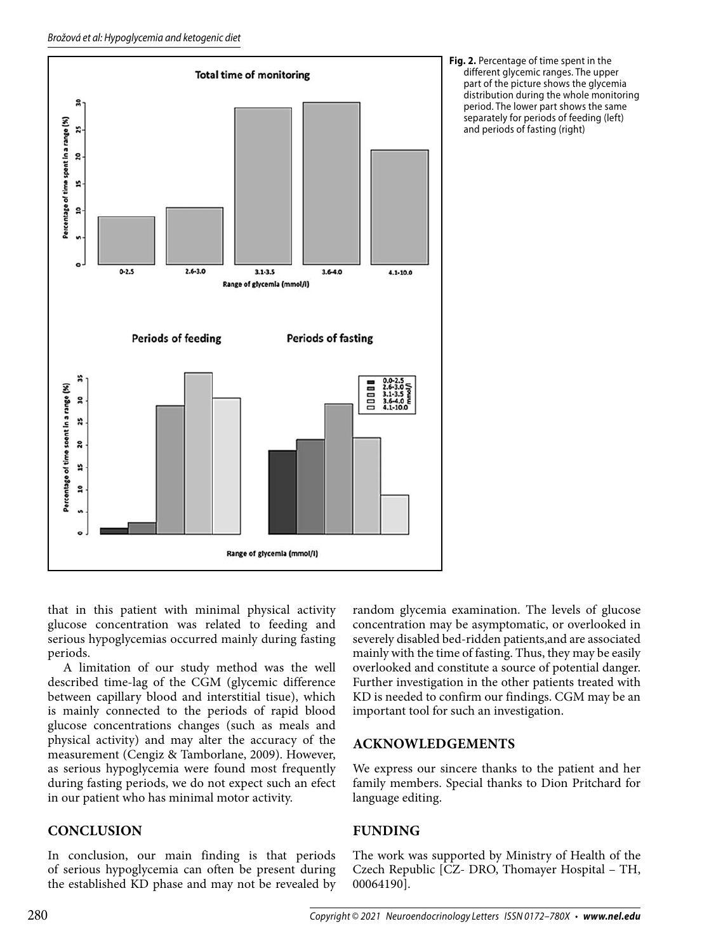

**Fig. 2.** Percentage of time spent in the different glycemic ranges. The upper part of the picture shows the glycemia distribution during the whole monitoring period. The lower part shows the same separately for periods of feeding (left) and periods of fasting (right)

that in this patient with minimal physical activity glucose concentration was related to feeding and serious hypoglycemias occurred mainly during fasting periods.

A limitation of our study method was the well described time-lag of the CGM (glycemic difference between capillary blood and interstitial tisue), which is mainly connected to the periods of rapid blood glucose concentrations changes (such as meals and physical activity) and may alter the accuracy of the measurement (Cengiz & Tamborlane, 2009). However, as serious hypoglycemia were found most frequently during fasting periods, we do not expect such an efect in our patient who has minimal motor activity.

# **CONCLUSION**

In conclusion, our main finding is that periods of serious hypoglycemia can often be present during the established KD phase and may not be revealed by random glycemia examination. The levels of glucose concentration may be asymptomatic, or overlooked in severely disabled bed-ridden patients,and are associated mainly with the time of fasting. Thus, they may be easily overlooked and constitute a source of potential danger. Further investigation in the other patients treated with KD is needed to confirm our findings. CGM may be an important tool for such an investigation.

# **ACKNOWLEDGEMENTS**

We express our sincere thanks to the patient and her family members. Special thanks to Dion Pritchard for language editing.

# **FUNDING**

The work was supported by Ministry of Health of the Czech Republic [CZ- DRO, Thomayer Hospital – TH, 00064190].